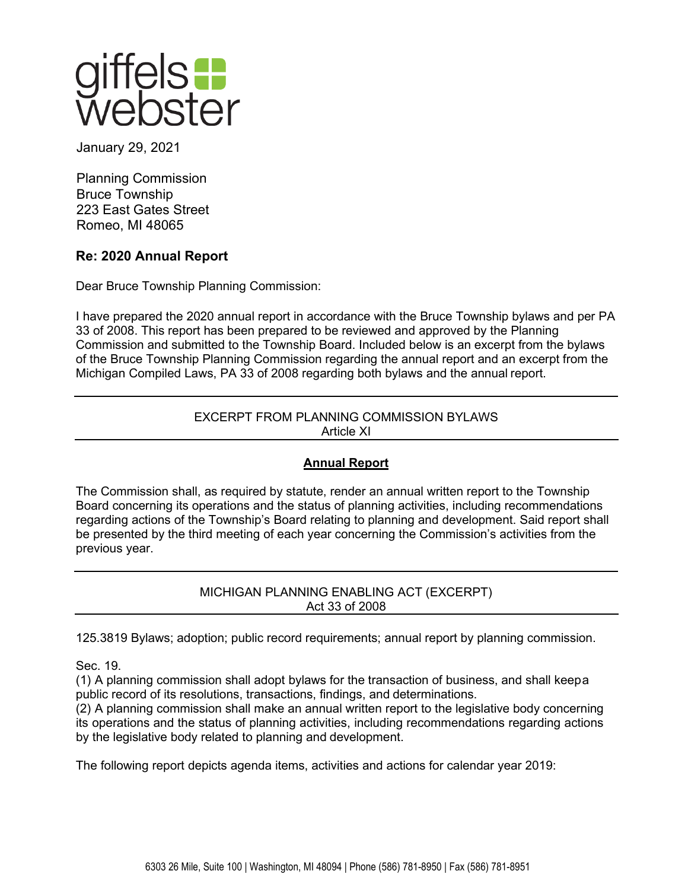

January 29, 2021

Planning Commission Bruce Township 223 East Gates Street Romeo, MI 48065

# **Re: 2020 Annual Report**

Dear Bruce Township Planning Commission:

I have prepared the 2020 annual report in accordance with the Bruce Township bylaws and per PA 33 of 2008. This report has been prepared to be reviewed and approved by the Planning Commission and submitted to the Township Board. Included below is an excerpt from the bylaws of the Bruce Township Planning Commission regarding the annual report and an excerpt from the Michigan Compiled Laws, PA 33 of 2008 regarding both bylaws and the annual report.

## EXCERPT FROM PLANNING COMMISSION BYLAWS Article XI

# **Annual Report**

The Commission shall, as required by statute, render an annual written report to the Township Board concerning its operations and the status of planning activities, including recommendations regarding actions of the Township's Board relating to planning and development. Said report shall be presented by the third meeting of each year concerning the Commission's activities from the previous year.

> MICHIGAN PLANNING ENABLING ACT (EXCERPT) Act 33 of 2008

125.3819 Bylaws; adoption; public record requirements; annual report by planning commission.

Sec. 19.

(1) A planning commission shall adopt bylaws for the transaction of business, and shall keepa public record of its resolutions, transactions, findings, and determinations.

(2) A planning commission shall make an annual written report to the legislative body concerning its operations and the status of planning activities, including recommendations regarding actions by the legislative body related to planning and development.

The following report depicts agenda items, activities and actions for calendar year 2019: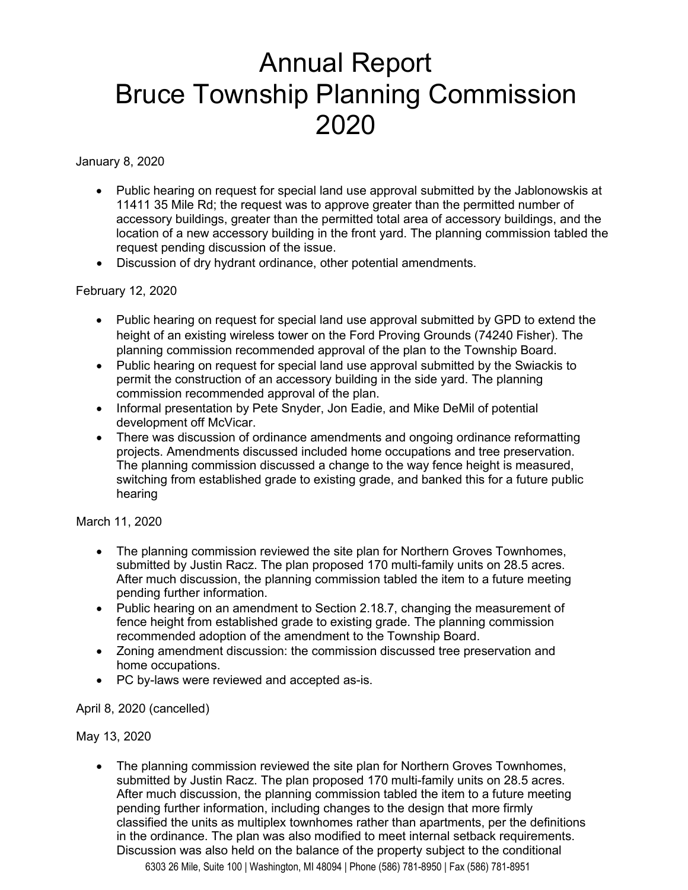# Annual Report Bruce Township Planning Commission 2020

January 8, 2020

- Public hearing on request for special land use approval submitted by the Jablonowskis at 11411 35 Mile Rd; the request was to approve greater than the permitted number of accessory buildings, greater than the permitted total area of accessory buildings, and the location of a new accessory building in the front yard. The planning commission tabled the request pending discussion of the issue.
- Discussion of dry hydrant ordinance, other potential amendments.

February 12, 2020

- Public hearing on request for special land use approval submitted by GPD to extend the height of an existing wireless tower on the Ford Proving Grounds (74240 Fisher). The planning commission recommended approval of the plan to the Township Board.
- Public hearing on request for special land use approval submitted by the Swiackis to permit the construction of an accessory building in the side yard. The planning commission recommended approval of the plan.
- Informal presentation by Pete Snyder, Jon Eadie, and Mike DeMil of potential development off McVicar.
- There was discussion of ordinance amendments and ongoing ordinance reformatting projects. Amendments discussed included home occupations and tree preservation. The planning commission discussed a change to the way fence height is measured, switching from established grade to existing grade, and banked this for a future public hearing

March 11, 2020

- The planning commission reviewed the site plan for Northern Groves Townhomes, submitted by Justin Racz. The plan proposed 170 multi-family units on 28.5 acres. After much discussion, the planning commission tabled the item to a future meeting pending further information.
- Public hearing on an amendment to Section 2.18.7, changing the measurement of fence height from established grade to existing grade. The planning commission recommended adoption of the amendment to the Township Board.
- Zoning amendment discussion: the commission discussed tree preservation and home occupations.
- PC by-laws were reviewed and accepted as-is.

April 8, 2020 (cancelled)

May 13, 2020

• The planning commission reviewed the site plan for Northern Groves Townhomes, submitted by Justin Racz. The plan proposed 170 multi-family units on 28.5 acres. After much discussion, the planning commission tabled the item to a future meeting pending further information, including changes to the design that more firmly classified the units as multiplex townhomes rather than apartments, per the definitions in the ordinance. The plan was also modified to meet internal setback requirements. Discussion was also held on the balance of the property subject to the conditional

6303 26 Mile, Suite 100 | Washington, MI 48094 | Phone (586) 781-8950 | Fax (586) 781-8951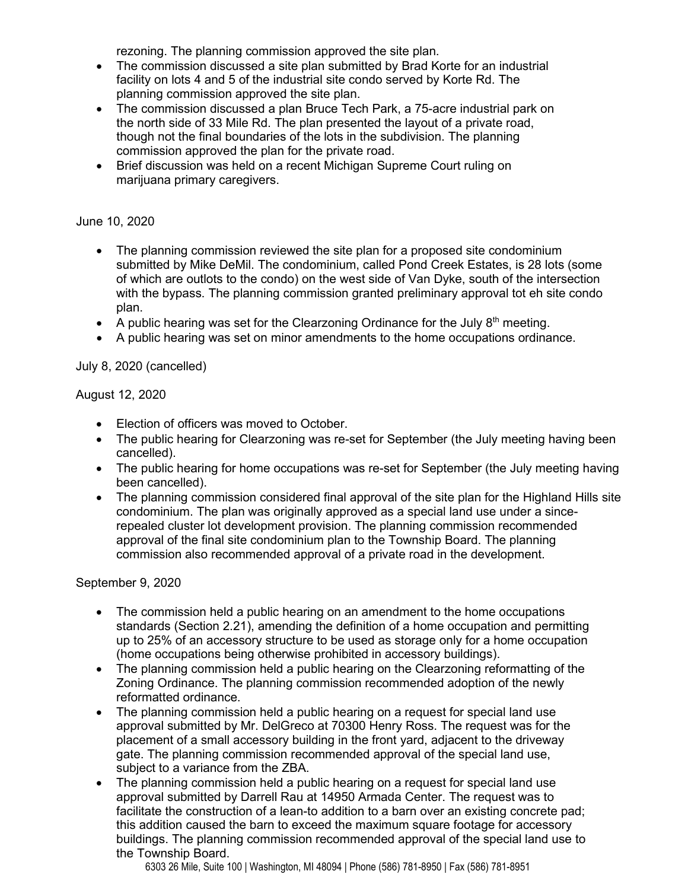rezoning. The planning commission approved the site plan.

- The commission discussed a site plan submitted by Brad Korte for an industrial facility on lots 4 and 5 of the industrial site condo served by Korte Rd. The planning commission approved the site plan.
- The commission discussed a plan Bruce Tech Park, a 75-acre industrial park on the north side of 33 Mile Rd. The plan presented the layout of a private road, though not the final boundaries of the lots in the subdivision. The planning commission approved the plan for the private road.
- Brief discussion was held on a recent Michigan Supreme Court ruling on marijuana primary caregivers.

#### June 10, 2020

- The planning commission reviewed the site plan for a proposed site condominium submitted by Mike DeMil. The condominium, called Pond Creek Estates, is 28 lots (some of which are outlots to the condo) on the west side of Van Dyke, south of the intersection with the bypass. The planning commission granted preliminary approval tot eh site condo plan.
- A public hearing was set for the Clearzoning Ordinance for the July  $8<sup>th</sup>$  meeting.
- A public hearing was set on minor amendments to the home occupations ordinance.

## July 8, 2020 (cancelled)

## August 12, 2020

- Election of officers was moved to October.
- The public hearing for Clearzoning was re-set for September (the July meeting having been cancelled).
- The public hearing for home occupations was re-set for September (the July meeting having been cancelled).
- The planning commission considered final approval of the site plan for the Highland Hills site condominium. The plan was originally approved as a special land use under a sincerepealed cluster lot development provision. The planning commission recommended approval of the final site condominium plan to the Township Board. The planning commission also recommended approval of a private road in the development.

#### September 9, 2020

- The commission held a public hearing on an amendment to the home occupations standards (Section 2.21), amending the definition of a home occupation and permitting up to 25% of an accessory structure to be used as storage only for a home occupation (home occupations being otherwise prohibited in accessory buildings).
- The planning commission held a public hearing on the Clearzoning reformatting of the Zoning Ordinance. The planning commission recommended adoption of the newly reformatted ordinance.
- The planning commission held a public hearing on a request for special land use approval submitted by Mr. DelGreco at 70300 Henry Ross. The request was for the placement of a small accessory building in the front yard, adjacent to the driveway gate. The planning commission recommended approval of the special land use, subject to a variance from the ZBA.
- The planning commission held a public hearing on a request for special land use approval submitted by Darrell Rau at 14950 Armada Center. The request was to facilitate the construction of a lean-to addition to a barn over an existing concrete pad; this addition caused the barn to exceed the maximum square footage for accessory buildings. The planning commission recommended approval of the special land use to the Township Board.

6303 26 Mile, Suite 100 | Washington, MI 48094 | Phone (586) 781-8950 | Fax (586) 781-8951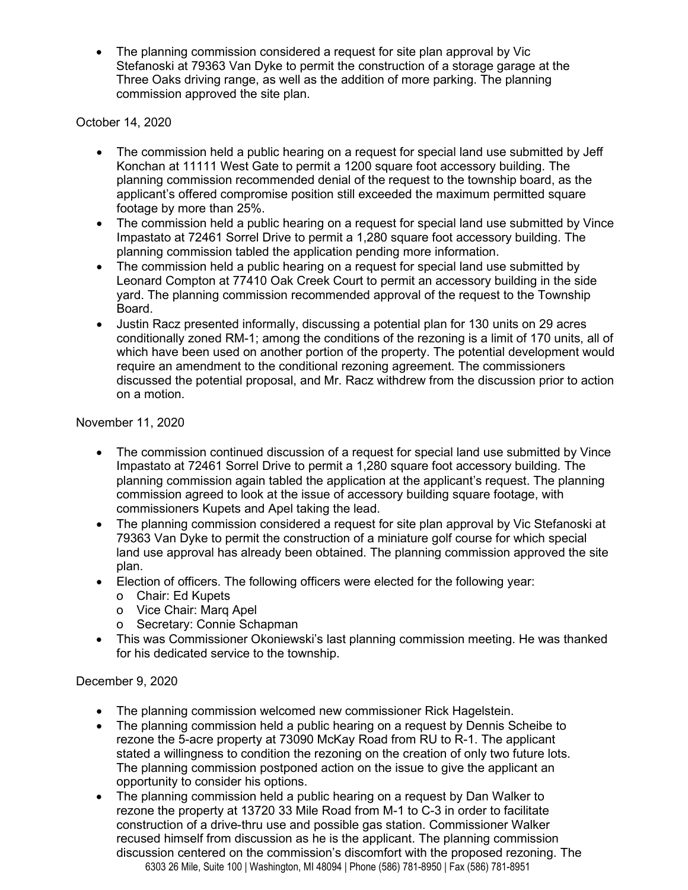• The planning commission considered a request for site plan approval by Vic Stefanoski at 79363 Van Dyke to permit the construction of a storage garage at the Three Oaks driving range, as well as the addition of more parking. The planning commission approved the site plan.

October 14, 2020

- The commission held a public hearing on a request for special land use submitted by Jeff Konchan at 11111 West Gate to permit a 1200 square foot accessory building. The planning commission recommended denial of the request to the township board, as the applicant's offered compromise position still exceeded the maximum permitted square footage by more than 25%.
- The commission held a public hearing on a request for special land use submitted by Vince Impastato at 72461 Sorrel Drive to permit a 1,280 square foot accessory building. The planning commission tabled the application pending more information.
- The commission held a public hearing on a request for special land use submitted by Leonard Compton at 77410 Oak Creek Court to permit an accessory building in the side yard. The planning commission recommended approval of the request to the Township Board.
- Justin Racz presented informally, discussing a potential plan for 130 units on 29 acres conditionally zoned RM-1; among the conditions of the rezoning is a limit of 170 units, all of which have been used on another portion of the property. The potential development would require an amendment to the conditional rezoning agreement. The commissioners discussed the potential proposal, and Mr. Racz withdrew from the discussion prior to action on a motion.

November 11, 2020

- The commission continued discussion of a request for special land use submitted by Vince Impastato at 72461 Sorrel Drive to permit a 1,280 square foot accessory building. The planning commission again tabled the application at the applicant's request. The planning commission agreed to look at the issue of accessory building square footage, with commissioners Kupets and Apel taking the lead.
- The planning commission considered a request for site plan approval by Vic Stefanoski at 79363 Van Dyke to permit the construction of a miniature golf course for which special land use approval has already been obtained. The planning commission approved the site plan.
- Election of officers. The following officers were elected for the following year:
	- o Chair: Ed Kupets
	- o Vice Chair: Marq Apel
	- o Secretary: Connie Schapman
- This was Commissioner Okoniewski's last planning commission meeting. He was thanked for his dedicated service to the township.

# December 9, 2020

- The planning commission welcomed new commissioner Rick Hagelstein.
- The planning commission held a public hearing on a request by Dennis Scheibe to rezone the 5-acre property at 73090 McKay Road from RU to R-1. The applicant stated a willingness to condition the rezoning on the creation of only two future lots. The planning commission postponed action on the issue to give the applicant an opportunity to consider his options.
- 6303 26 Mile, Suite 100 | Washington, MI 48094 | Phone (586) 781-8950 | Fax (586) 781-8951 • The planning commission held a public hearing on a request by Dan Walker to rezone the property at 13720 33 Mile Road from M-1 to C-3 in order to facilitate construction of a drive-thru use and possible gas station. Commissioner Walker recused himself from discussion as he is the applicant. The planning commission discussion centered on the commission's discomfort with the proposed rezoning. The